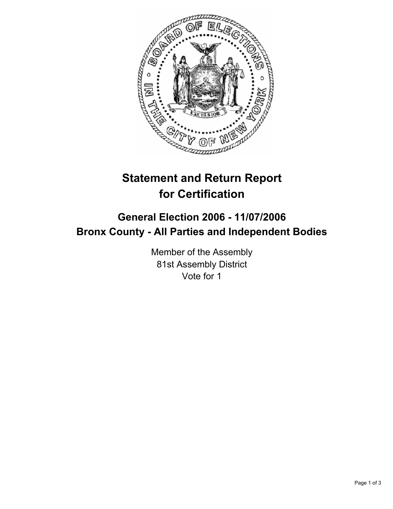

# **Statement and Return Report for Certification**

## **General Election 2006 - 11/07/2006 Bronx County - All Parties and Independent Bodies**

Member of the Assembly 81st Assembly District Vote for 1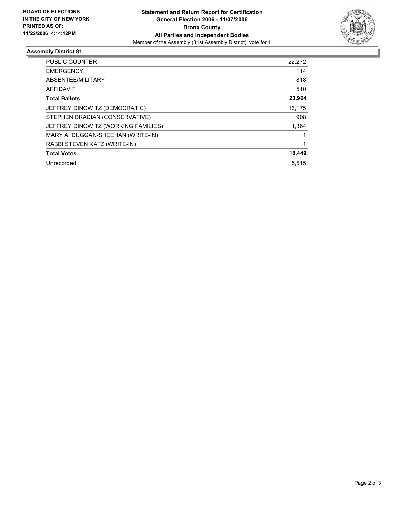

### **Assembly District 81**

| PUBLIC COUNTER                      | 22,272 |
|-------------------------------------|--------|
| <b>EMERGENCY</b>                    | 114    |
| ABSENTEE/MILITARY                   | 818    |
| <b>AFFIDAVIT</b>                    | 510    |
| <b>Total Ballots</b>                | 23,964 |
| JEFFREY DINOWITZ (DEMOCRATIC)       | 16,175 |
| STEPHEN BRADIAN (CONSERVATIVE)      | 908    |
| JEFFREY DINOWITZ (WORKING FAMILIES) | 1,364  |
| MARY A. DUGGAN-SHEEHAN (WRITE-IN)   |        |
| RABBI STEVEN KATZ (WRITE-IN)        |        |
| <b>Total Votes</b>                  | 18,449 |
| Unrecorded                          | 5.515  |